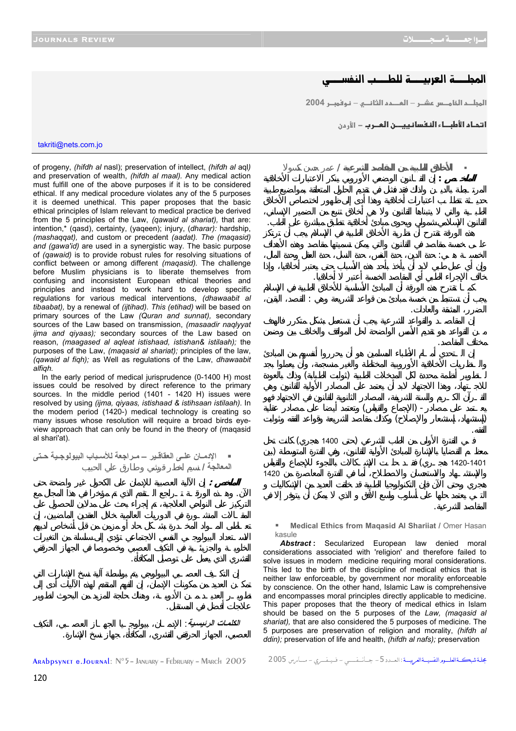## المطـــة العربيـــة للطـــب النفسـ

**2004 h
} – 1%א ffא – h j%א fא**

**ا تحـاء الأطبــاء النـفسانـييـــن المــرب − الأرمن** 

takriti@nets.com.jo

of progeny, *(hifdh al* nasl); preservation of intellect, *(hifdh al* aql*)* and preservation of wealth, *(hifdh al maal).* Any medical action must fulfill one of the above purposes if it is to be considered ethical. If any medical procedure violates any of the 5 purposes it is deemed unethical. This paper proposes that the basic ethical principles of Islam relevant to medical practice be derived from the 5 principles of the Law, *(qawaid al shariat),* that are: intention,\* (qasd), certainty, (yaqeen); injury, (*dharar):* hardship, *(mashaqqat),* and custom or precedent *(aadat). The (maqasid) and (gawa'id)* are used in a synergistic way. The basic purpose of *(qawaid)* is to provide robust rules for resolving situations of conflict between or among different *(maqasid).* The challenge before Muslim physicians is to liberate themselves from confusing and inconsistent European ethical theories and principles and instead to work hard to develop specific regulations for various medical interventions, *(dhawaabit al tibaabat),* by a renewal of *(ijtihad). This (etihad)* will be based on primary sources of the Law *(Quran and sunnat),* secondary sources of the Law based on transmission, *(masaadir naqlyyat ijma and qiyaas);* secondary sources of the Law based on reason, *(maagased al aqleat istishaad, istishan& istilaah);* the purposes of the Law, *(maqasid al shariat);* principles of the law, *(qawaid al fiqh);* as Well as regulations of the Law, *dhawaabit alfiqh.* 

In the early period of medical jurisprudence (0-1400 H) most issues could be resolved by direct reference to the primary sources. In the middle period (1401 - 1420 H) issues were resolved by using *(ijma, qiyaas, istishaad & istihsaan istilaah).* In the modem period (1420-) medical technology is creating so many issues whose resolution will require a broad birds eyeview approach that can only be found in the theory of (maqasid al shari'at).

 **الإدمѧѧان علѧѧى العقاقѧѧير – مѧѧراجعة للأسѧѧباب البيولوجѧѧية حѧѧتى المعالجة /** نسيم اخطر قرشي طارق علي الحبيب

 **الملخص :** إن الآلية العصبية للإدمان على الكحول غير واضحة حتى الآن. وهـذه الورقـة تـراجع الـتقدم الذي تم مؤخرا في هذا المجال مع

الكلمات الرئيسية :

لاجات أفضل في المستقبل.

القشري الذي يعمل على توصيل المكافأة.



العصبي، الجهاز الحرقفي القشري، المكافأة، جهاز نسخ الإشارة.



**Medical Ethics from Maqasid Al Shariiat / Omer Hasan** kasule

المقاصد الشرعية.

Abstract: Secularized European law denied moral considerations associated with 'religion' and therefore failed to solve issues in modern medicine requiring moral considerations. This led to the birth of the discipline of medical ethics that is neither law enforceable, by government nor morality enforceable by conscience. On the other hand, Islamic Law is comprehensive and encompasses moral principles directly applicable to medicine. This paper proposes that the theory of medical ethics in Islam should be based on the 5 purposes of the *Law, (maqasid al shariat),* that are also considered the 5 purposes of medicine. The 5 purposes are preservation of religion and morality, *(hifdh al ddin);* preservation of life and health, *(hifdh al nafs);* preservation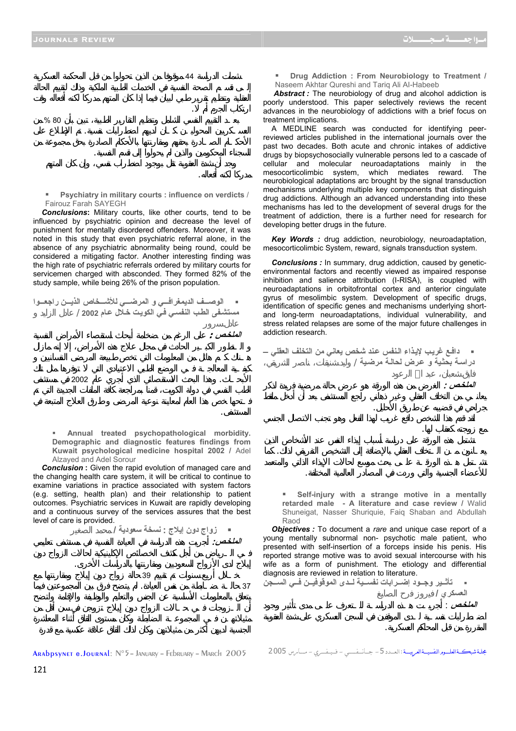$\overline{44}$ 

السجناء المحكومين والذين لم يحولوا إلى قسم النفسية.

ارتكاب الجرم أم .

مدركا لكنه أفعاله.

 $\%80$ 

 **Psychiatry in military courts : influence on verdicts** / Fairouz Farah SAYEGH

لعسـكريين المحوليـن كـان لديهم اضطرابات نفسية. تم الإطلاع على

 *Conclusions***:** Military courts, like other courts, tend to be influenced by psychiatric opinion and decrease the level of punishment for mentally disordered offenders. Moreover, it was noted in this study that even psychiatric referral alone, in the absence of any psychiatric abnormality being round, could be considered a mitigating factor. Another interesting finding was the high rate of psychiatric referrals ordered by military courts for servicemen charged with absconded. They formed 82% of the study sample, while being 26% of the prison population.

■ الوصــف الديمغرافــي و المرضــي للأشــخاص الذيــن راجعــوا **مستشѧفى الطѧب النفسѧي فѧي الكويѧت خѧلال عѧام 2002** / عادل الزايد

 **الملخѧص :** على الرغم من ضخامة أبحاث استقصاء الأمراض النفسية

المستشفى.

الأبحـاث. وهذا البحث الاستقصائي الذي أجري عام 2002 في مستشفى

 **Annual treated psychopathological morbidity. Demographic and diagnostic features findings from Kuwait psychological medicine hospital 2002 /** Adel Alzayed and Adel Sorour

*Conclusion*: Given the rapid evolution of managed care and the changing health care system, it will be critical to continue to examine variations in practice associated with system factors (e.g. setting, health plan) and their relationship to patient outcomes. Psychiatric services in Kuwait are rapidly developing and a continuous survey of the services assures that the best level of care is provided.

 **زواج دون إيلاج : نسخة سعودية /** محمد الصغير  **الملخѧص:** أجريت هذه الدراسة في العيادة النفسية في مستشفى تعليمي إيلاج لدى الأزواج السعوديين ومقارنتها بالدراسات الأخرى. خـلال أربع سنوات تم تقييم 39 حالة زواج دون إيلاج ومقارنتها مع

 **Drug Addiction : From Neurobiology to Treatment /**  Naseem Akhtar Qureshi and Tariq Ali AI-Habeeb

**Abstract :** The neurobiology of drug and alcohol addiction is poorly understood. This paper selectively reviews the recent advances in the neurobiology of addictions with a brief focus on treatment implications.

 A MEDLINE search was conducted for identifying peerreviewed articles published in the international journals over the past two decades. Both acute and chronic intakes of addictive drugs by biopsychosocially vulnerable persons led to a cascade of cellular and molecular neuroadaptations mainly in the mesocorticolimbic system, which mediates reward. The neurobiological adaptations arc brought by the signal transduction mechanisms underlying multiple key components that distinguish drug addictions. Although an advanced understanding into these mechanisms has led to the development of several drugs for the treatment of addiction, there is a further need for research for developing better drugs in the future.

 *Key Words :* drug addiction, neurobiology, neuroadaptation, mesocorticolimbic System, reward, signals transduction system.

**Conclusions**: In summary, drug addiction, caused by geneticenvironmental factors and recently viewed as impaired response inhibition and salience attribution (I-RISA), is coupled with neuroadaptations in orbitofrontal cortex and anterior cingulate gyrus of mesolimbic system. Development of specific drugs, identification of specific genes and mechanisms underlying shortand long-term neuroadaptations, individual vulnerability, and stress related relapses are some of the major future challenges in addiction research.

 **دافѧع غريѧب لإيѧذاء الѧنفس عѧند شخص يعاني من التخلف العقلي –** دراسـة بحثية و عرض لحالـة مرضية /

 **الملخѧص :** الغرض من هذه الورقة هو عرض حالة مرضية فريدة لذكر

مع زوجته كعقاب لها.

جراحي في قضيبه عن طريق الأحليل.

المقررة من قبل المحاكم العسكرية.

 **Self-injury with a strange motive in a mentally retarded male - A literature and case review /** Walid Shuneigat, Nasser Shuriquie, Faiq Shaban and Abdullah Raod

للأعضاء الجنسية والتي وردت في المصادر العالمية المختلفة.

يعـانون مـن الـتخلف العقلي بالإضافة إلى التشخيص التفريقي لذلك. كما

 *Objectives :* To document a *rare* and unique case report of a young mentally subnormal non- psychotic male patient, who presented with self-insertion of a forceps inside his penis. His reported strange motive was to avoid sexual intercourse with his wife as a form of punishment. The etiology and differential diagnosis are reviewed in relation to literature.

ه تأثير وجـود إضـرابات نفسـية لـدى الموقوفيـن فـي السـجن العسكري /  **الملخѧص** : أجريـت هـذه الدراسـة للـتعرف علـى مدى تأثير وجود

37 حالـة ضـابطة من نفس العيادة. لم يتضح فرق بين المجموعتين فيما

Arabpsynet e.Journal : N°5– January – February – March 2005 2005 مــــــارس - فــــيـــفـــــري - جــــانـــــفـــــــــي -5الـعــــدد: شبكـــةالعلــــــومالنفسيــــةالعربيـــــة مجلــة

121